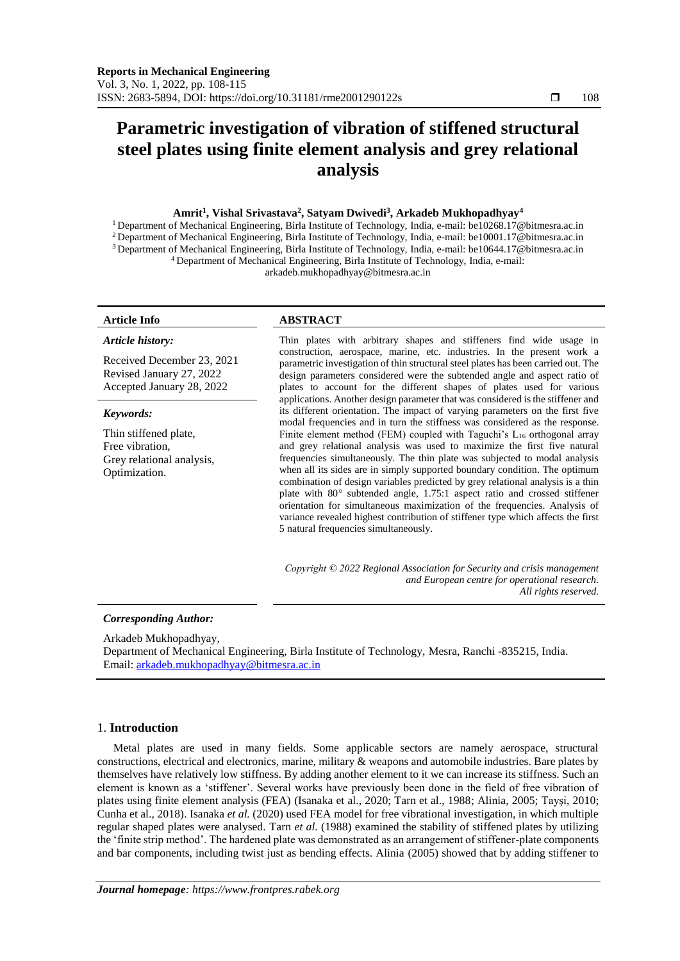# **Parametric investigation of vibration of stiffened structural steel plates using finite element analysis and grey relational analysis**

# **Amrit<sup>1</sup> , Vishal Srivastava<sup>2</sup> , Satyam Dwivedi<sup>3</sup> , Arkadeb Mukhopadhyay<sup>4</sup>**

 Department of Mechanical Engineering, Birla Institute of Technology, India, e-mail: be10268.17@bitmesra.ac.in Department of Mechanical Engineering, Birla Institute of Technology, India, e-mail: be10001.17@bitmesra.ac.in Department of Mechanical Engineering, Birla Institute of Technology, India, e-mail: be10644.17@bitmesra.ac.in Department of Mechanical Engineering, Birla Institute of Technology, India, e-mail:

arkadeb.mukhopadhyay@bitmesra.ac.in

#### *Article history:*

Received December 23, 2021 Revised January 27, 2022 Accepted January 28, 2022

#### *Keywords:*

Thin stiffened plate, Free vibration, Grey relational analysis, Optimization.

# **Article Info ABSTRACT**

Thin plates with arbitrary shapes and stiffeners find wide usage in construction, aerospace, marine, etc. industries. In the present work a parametric investigation of thin structural steel plates has been carried out. The design parameters considered were the subtended angle and aspect ratio of plates to account for the different shapes of plates used for various applications. Another design parameter that was considered is the stiffener and its different orientation. The impact of varying parameters on the first five modal frequencies and in turn the stiffness was considered as the response. Finite element method (FEM) coupled with Taguchi's  $L_{16}$  orthogonal array and grey relational analysis was used to maximize the first five natural frequencies simultaneously. The thin plate was subjected to modal analysis when all its sides are in simply supported boundary condition. The optimum combination of design variables predicted by grey relational analysis is a thin plate with 80*°* subtended angle, 1.75:1 aspect ratio and crossed stiffener orientation for simultaneous maximization of the frequencies. Analysis of variance revealed highest contribution of stiffener type which affects the first 5 natural frequencies simultaneously.

*Copyright © 2022 Regional Association for Security and crisis management and European centre for operational research. All rights reserved.*

## *Corresponding Author:*

Arkadeb Mukhopadhyay,

Department of Mechanical Engineering, Birla Institute of Technology, Mesra, Ranchi -835215, India. Email[: arkadeb.mukhopadhyay@bitmesra.ac.in](mailto:arkadeb.mukhopadhyay@bitmesra.ac.in)

## 1. **Introduction**

Metal plates are used in many fields. Some applicable sectors are namely aerospace, structural constructions, electrical and electronics, marine, military & weapons and automobile industries. Bare plates by themselves have relatively low stiffness. By adding another element to it we can increase its stiffness. Such an element is known as a 'stiffener'. Several works have previously been done in the field of free vibration of plates using finite element analysis (FEA) (Isanaka et al., 2020; Tarn et al., 1988; Alinia, 2005; Tayşi, 2010; Cunha et al., 2018). Isanaka *et al.* (2020) used FEA model for free vibrational investigation, in which multiple regular shaped plates were analysed. Tarn *et al.* (1988) examined the stability of stiffened plates by utilizing the 'finite strip method'. The hardened plate was demonstrated as an arrangement of stiffener-plate components and bar components, including twist just as bending effects. Alinia (2005) showed that by adding stiffener to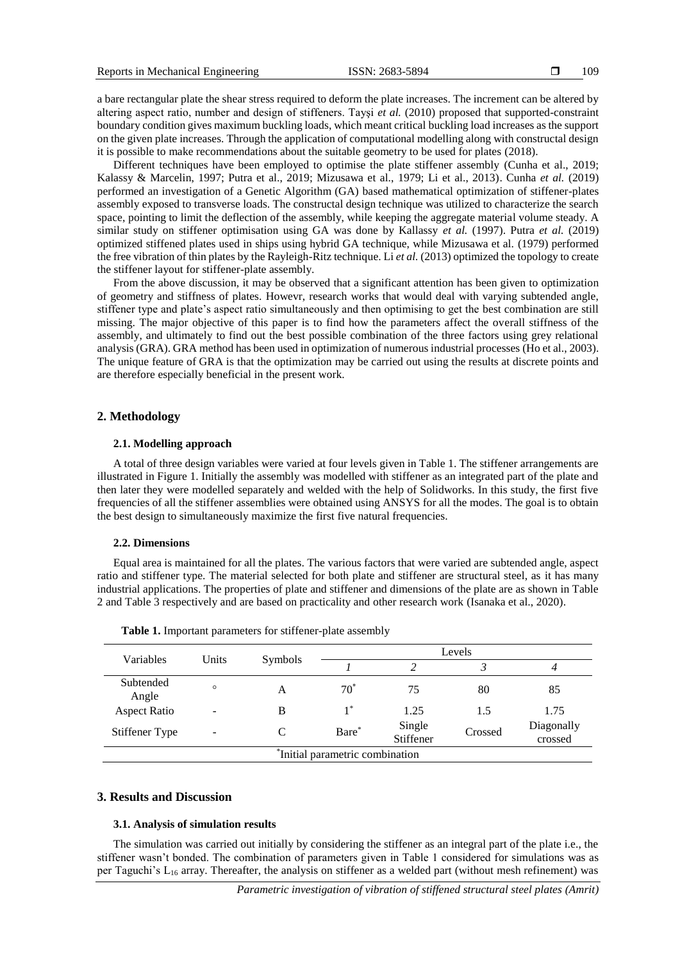a bare rectangular plate the shear stress required to deform the plate increases. The increment can be altered by altering aspect ratio, number and design of stiffeners. Tayşi *et al.* (2010) proposed that supported-constraint boundary condition gives maximum buckling loads, which meant critical buckling load increases as the support on the given plate increases. Through the application of computational modelling along with constructal design it is possible to make recommendations about the suitable geometry to be used for plates (2018).

Different techniques have been employed to optimise the plate stiffener assembly (Cunha et al., 2019; Kalassy & Marcelin, 1997; Putra et al., 2019; Mizusawa et al., 1979; Li et al., 2013). Cunha *et al.* (2019) performed an investigation of a Genetic Algorithm (GA) based mathematical optimization of stiffener-plates assembly exposed to transverse loads. The constructal design technique was utilized to characterize the search space, pointing to limit the deflection of the assembly, while keeping the aggregate material volume steady. A similar study on stiffener optimisation using GA was done by Kallassy *et al.* (1997). Putra *et al.* (2019) optimized stiffened plates used in ships using hybrid GA technique, while Mizusawa et al. (1979) performed the free vibration of thin plates by the Rayleigh-Ritz technique. Li *et al.* (2013) optimized the topology to create the stiffener layout for stiffener-plate assembly.

From the above discussion, it may be observed that a significant attention has been given to optimization of geometry and stiffness of plates. Howevr, research works that would deal with varying subtended angle, stiffener type and plate's aspect ratio simultaneously and then optimising to get the best combination are still missing. The major objective of this paper is to find how the parameters affect the overall stiffness of the assembly, and ultimately to find out the best possible combination of the three factors using grey relational analysis (GRA). GRA method has been used in optimization of numerous industrial processes (Ho et al., 2003). The unique feature of GRA is that the optimization may be carried out using the results at discrete points and are therefore especially beneficial in the present work.

#### **2. Methodology**

#### **2.1. Modelling approach**

A total of three design variables were varied at four levels given in Table 1. The stiffener arrangements are illustrated in Figure 1. Initially the assembly was modelled with stiffener as an integrated part of the plate and then later they were modelled separately and welded with the help of Solidworks. In this study, the first five frequencies of all the stiffener assemblies were obtained using ANSYS for all the modes. The goal is to obtain the best design to simultaneously maximize the first five natural frequencies.

#### **2.2. Dimensions**

Equal area is maintained for all the plates. The various factors that were varied are subtended angle, aspect ratio and stiffener type. The material selected for both plate and stiffener are structural steel, as it has many industrial applications. The properties of plate and stiffener and dimensions of the plate are as shown in Table 2 and Table 3 respectively and are based on practicality and other research work (Isanaka et al., 2020).

| Variables<br>Subtended<br>Angle<br><b>Aspect Ratio</b> | Units   |         | Levels |                     |         |                       |  |
|--------------------------------------------------------|---------|---------|--------|---------------------|---------|-----------------------|--|
|                                                        |         | Symbols |        |                     |         |                       |  |
|                                                        | $\circ$ | А       | $70*$  | 75                  | 80      | 85                    |  |
|                                                        |         | B       | $1^*$  | 1.25                | 1.5     | 1.75                  |  |
| Stiffener Type                                         |         | C       | Bare*  | Single<br>Stiffener | Crossed | Diagonally<br>crossed |  |
| *Initial parametric combination                        |         |         |        |                     |         |                       |  |

**Table 1.** Important parameters for stiffener-plate assembly

# **3. Results and Discussion**

#### **3.1. Analysis of simulation results**

The simulation was carried out initially by considering the stiffener as an integral part of the plate i.e., the stiffener wasn't bonded. The combination of parameters given in Table 1 considered for simulations was as per Taguchi's  $L_{16}$  array. Thereafter, the analysis on stiffener as a welded part (without mesh refinement) was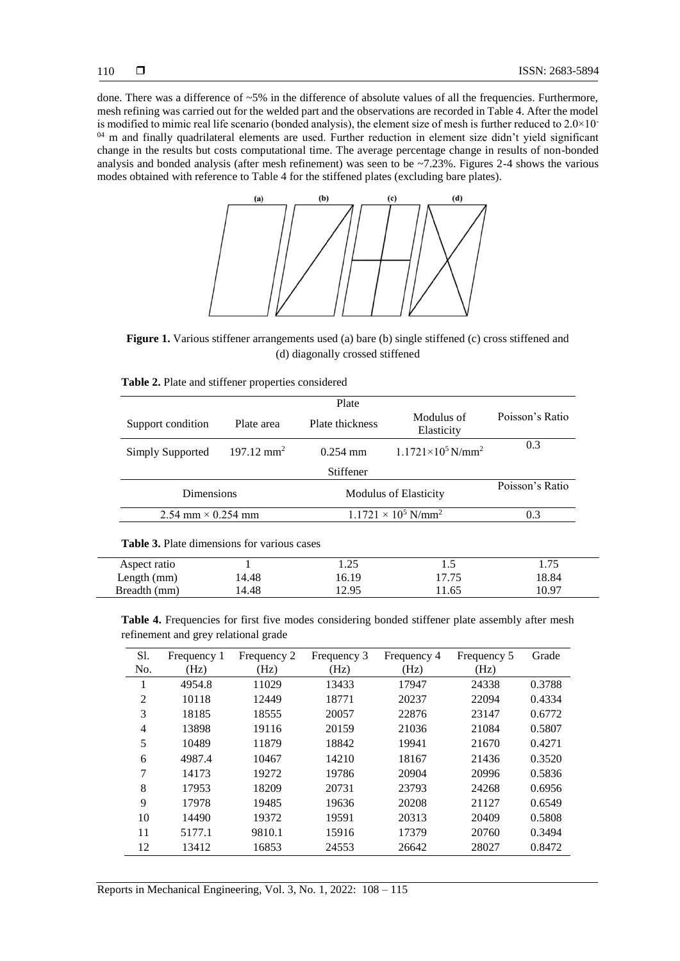done. There was a difference of  $~5\%$  in the difference of absolute values of all the frequencies. Furthermore, mesh refining was carried out for the welded part and the observations are recorded in Table 4. After the model is modified to mimic real life scenario (bonded analysis), the element size of mesh is further reduced to  $2.0\times10^{-1}$ <sup>04</sup> m and finally quadrilateral elements are used. Further reduction in element size didn't yield significant change in the results but costs computational time. The average percentage change in results of non-bonded analysis and bonded analysis (after mesh refinement) was seen to be  $\approx$  7.23%. Figures 2-4 shows the various modes obtained with reference to Table 4 for the stiffened plates (excluding bare plates).



**Figure 1.** Various stiffener arrangements used (a) bare (b) single stiffened (c) cross stiffened and (d) diagonally crossed stiffened

|                                                    |                       | Plate           |                                        |                 |  |
|----------------------------------------------------|-----------------------|-----------------|----------------------------------------|-----------------|--|
| Support condition                                  | Plate area            | Plate thickness | Modulus of<br>Elasticity               | Poisson's Ratio |  |
| Simply Supported                                   | $197.12 \text{ mm}^2$ | $0.254$ mm      | $1.1721 \times 10^5$ N/mm <sup>2</sup> | 0.3             |  |
|                                                    |                       | Stiffener       |                                        |                 |  |
| <b>Dimensions</b>                                  | Poisson's Ratio       |                 |                                        |                 |  |
| 2.54 mm $\times$ 0.254 mm                          |                       |                 | $1.1721 \times 10^5$ N/mm <sup>2</sup> | 0.3             |  |
| <b>Table 3.</b> Plate dimensions for various cases |                       |                 |                                        |                 |  |

| <b>Table 2.</b> Plate and stiffener properties considered |  |
|-----------------------------------------------------------|--|
|-----------------------------------------------------------|--|

| Aspect ratio  |       | 1.25  | ن . 1 | 1.75  |
|---------------|-------|-------|-------|-------|
| Length $(mm)$ | 14.48 | 16.19 | 17.75 | 18.84 |
| Breadth (mm)  | 14.48 | 12.95 | 11.65 | 10.97 |
|               |       |       |       |       |

**Table 4.** Frequencies for first five modes considering bonded stiffener plate assembly after mesh refinement and grey relational grade

| S1.            | Frequency 1 | Frequency 2 | Frequency 3 | Frequency 4 | Frequency 5 | Grade  |
|----------------|-------------|-------------|-------------|-------------|-------------|--------|
| No.            | (Hz)        | (Hz)        | (Hz)        | (Hz)        | (Hz)        |        |
| -1             | 4954.8      | 11029       | 13433       | 17947       | 24338       | 0.3788 |
| $\overline{2}$ | 10118       | 12449       | 18771       | 20237       | 22094       | 0.4334 |
| 3              | 18185       | 18555       | 20057       | 22876       | 23147       | 0.6772 |
| 4              | 13898       | 19116       | 20159       | 21036       | 21084       | 0.5807 |
| 5              | 10489       | 11879       | 18842       | 19941       | 21670       | 0.4271 |
| 6              | 4987.4      | 10467       | 14210       | 18167       | 21436       | 0.3520 |
| 7              | 14173       | 19272       | 19786       | 20904       | 20996       | 0.5836 |
| 8              | 17953       | 18209       | 20731       | 23793       | 24268       | 0.6956 |
| 9              | 17978       | 19485       | 19636       | 20208       | 21127       | 0.6549 |
| 10             | 14490       | 19372       | 19591       | 20313       | 20409       | 0.5808 |
| 11             | 5177.1      | 9810.1      | 15916       | 17379       | 20760       | 0.3494 |
| 12             | 13412       | 16853       | 24553       | 26642       | 28027       | 0.8472 |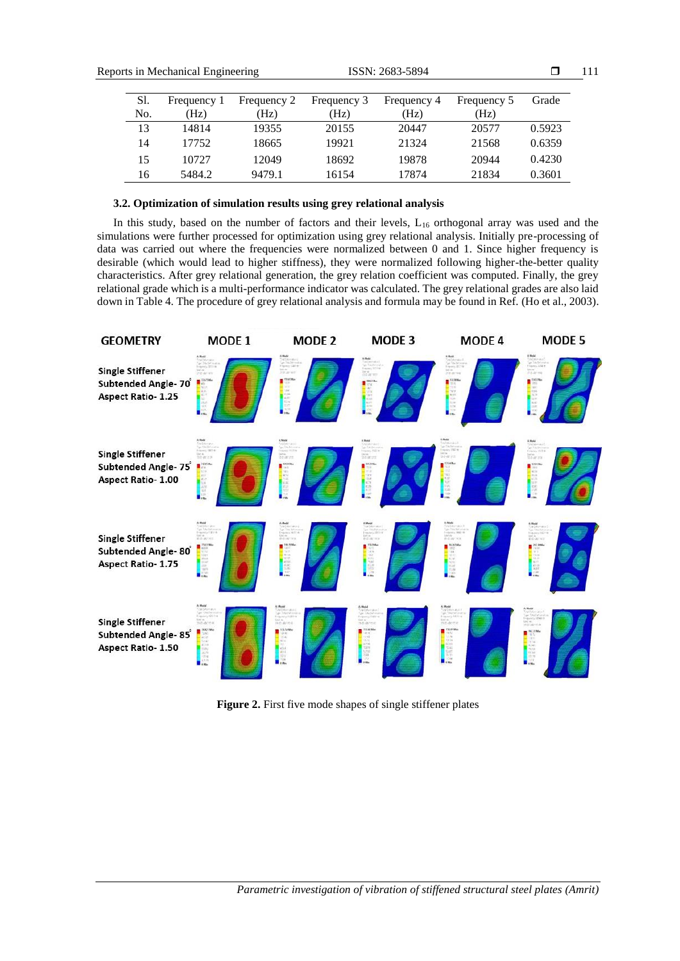| <b>Reports in Mechanical Engineering</b> |     | ISSN: 2683-5894 |             |             |             | 111         |        |  |
|------------------------------------------|-----|-----------------|-------------|-------------|-------------|-------------|--------|--|
|                                          | Sl. | Frequency 1     | Frequency 2 | Frequency 3 | Frequency 4 | Frequency 5 | Grade  |  |
|                                          | No. | (Hz)            | (Hz)        | (Hz)        | (Hz)        | (Hz)        |        |  |
|                                          | 13  | 14814           | 19355       | 20155       | 20447       | 20577       | 0.5923 |  |
|                                          | 14  | 17752           | 18665       | 19921       | 21324       | 21568       | 0.6359 |  |
|                                          | 15  | 10727           | 12049       | 18692       | 19878       | 20944       | 0.4230 |  |
|                                          | 16  | 5484.2          | 9479.1      | 16154       | 17874       | 21834       | 0.3601 |  |

# **3.2. Optimization of simulation results using grey relational analysis**

In this study, based on the number of factors and their levels, L<sub>16</sub> orthogonal array was used and the simulations were further processed for optimization using grey relational analysis. Initially pre-processing of data was carried out where the frequencies were normalized between 0 and 1. Since higher frequency is desirable (which would lead to higher stiffness), they were normalized following higher-the-better quality characteristics. After grey relational generation, the grey relation coefficient was computed. Finally, the grey relational grade which is a multi-performance indicator was calculated. The grey relational grades are also laid down in Table 4. The procedure of grey relational analysis and formula may be found in Ref. (Ho et al., 2003).



**Figure 2.** First five mode shapes of single stiffener plates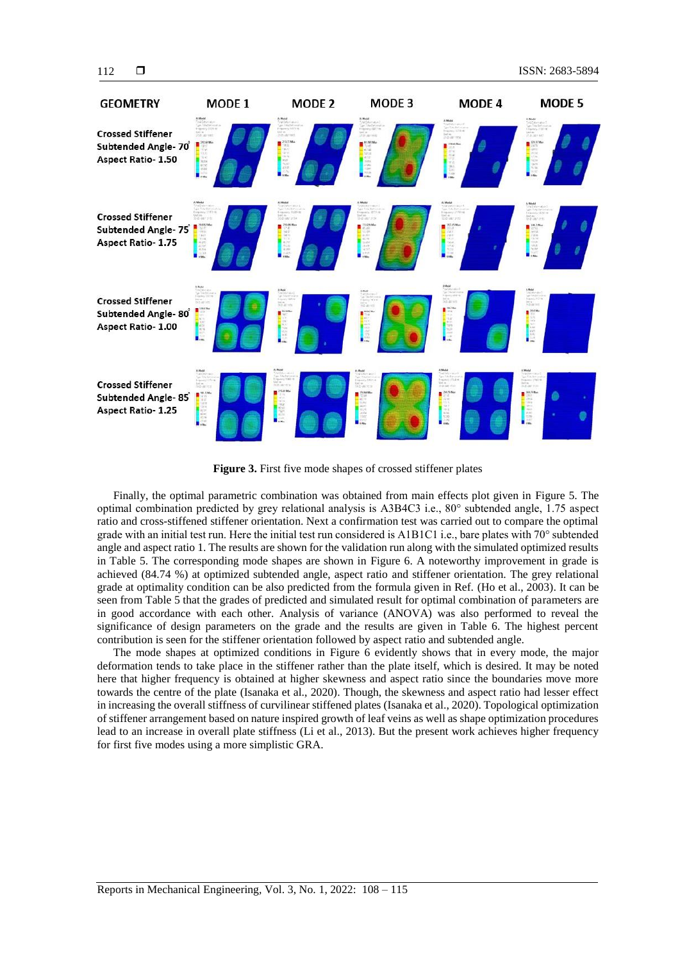

**Figure 3.** First five mode shapes of crossed stiffener plates

Finally, the optimal parametric combination was obtained from main effects plot given in Figure 5. The optimal combination predicted by grey relational analysis is A3B4C3 i.e., 80° subtended angle, 1.75 aspect ratio and cross-stiffened stiffener orientation. Next a confirmation test was carried out to compare the optimal grade with an initial test run. Here the initial test run considered is A1B1C1 i.e., bare plates with 70° subtended angle and aspect ratio 1. The results are shown for the validation run along with the simulated optimized results in Table 5. The corresponding mode shapes are shown in Figure 6. A noteworthy improvement in grade is achieved (84.74 %) at optimized subtended angle, aspect ratio and stiffener orientation. The grey relational grade at optimality condition can be also predicted from the formula given in Ref. (Ho et al., 2003). It can be seen from Table 5 that the grades of predicted and simulated result for optimal combination of parameters are in good accordance with each other. Analysis of variance (ANOVA) was also performed to reveal the significance of design parameters on the grade and the results are given in Table 6. The highest percent contribution is seen for the stiffener orientation followed by aspect ratio and subtended angle.

The mode shapes at optimized conditions in Figure 6 evidently shows that in every mode, the major deformation tends to take place in the stiffener rather than the plate itself, which is desired. It may be noted here that higher frequency is obtained at higher skewness and aspect ratio since the boundaries move more towards the centre of the plate (Isanaka et al., 2020). Though, the skewness and aspect ratio had lesser effect in increasing the overall stiffness of curvilinear stiffened plates (Isanaka et al., 2020). Topological optimization of stiffener arrangement based on nature inspired growth of leaf veins as well as shape optimization procedures lead to an increase in overall plate stiffness (Li et al., 2013). But the present work achieves higher frequency for first five modes using a more simplistic GRA.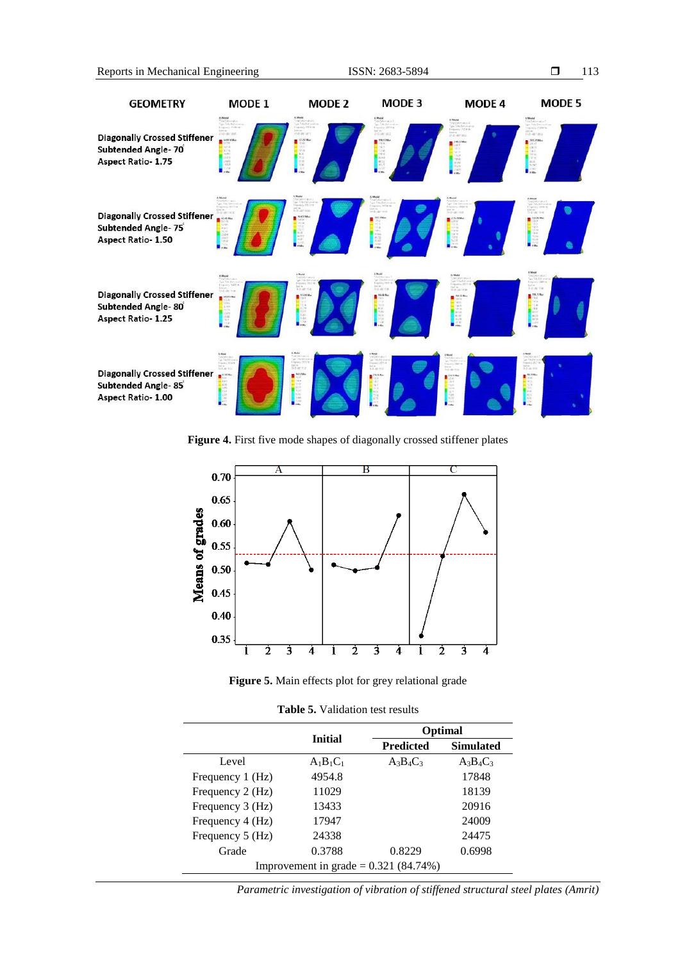

**Figure 4.** First five mode shapes of diagonally crossed stiffener plates





**Table 5.** Validation test results

|                  | <b>Initial</b>                          | Optimal          |                  |  |  |  |  |
|------------------|-----------------------------------------|------------------|------------------|--|--|--|--|
|                  |                                         | <b>Predicted</b> | <b>Simulated</b> |  |  |  |  |
| Level            | $A_1B_1C_1$                             | $A_3B_4C_3$      | $A_3B_4C_3$      |  |  |  |  |
| Frequency 1 (Hz) | 4954.8                                  |                  | 17848            |  |  |  |  |
| Frequency 2 (Hz) | 11029                                   |                  | 18139            |  |  |  |  |
| Frequency 3 (Hz) | 13433                                   |                  | 20916            |  |  |  |  |
| Frequency 4 (Hz) | 17947                                   |                  | 24009            |  |  |  |  |
| Frequency 5 (Hz) | 24338                                   |                  | 24475            |  |  |  |  |
| Grade            | 0.3788                                  | 0.8229           | 0.6998           |  |  |  |  |
|                  | Improvement in grade = $0.321$ (84.74%) |                  |                  |  |  |  |  |

*Parametric investigation of vibration of stiffened structural steel plates (Amrit)*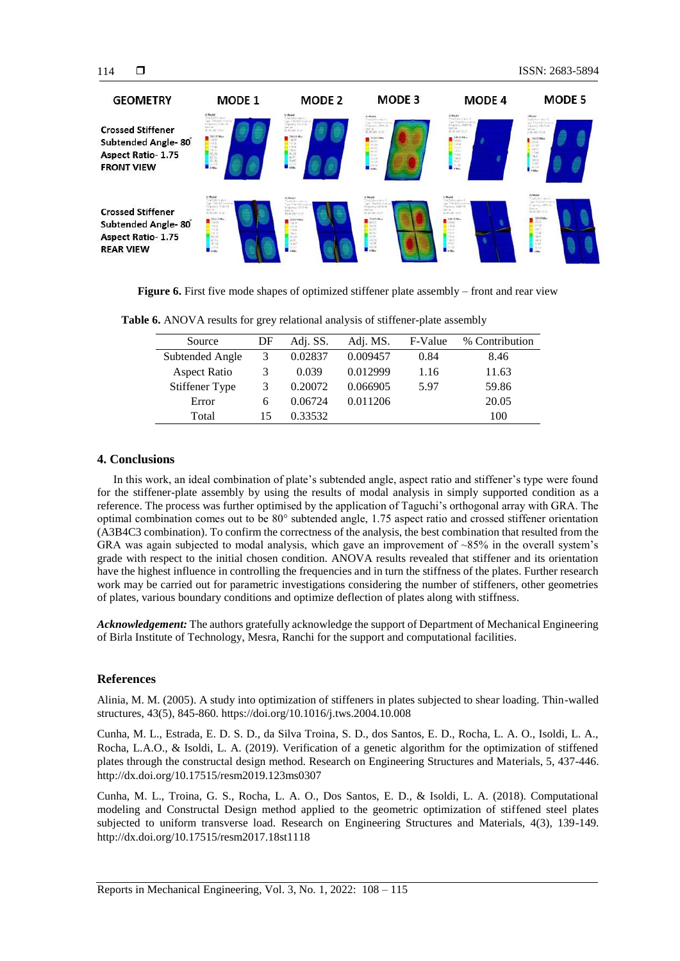

**Figure 6.** First five mode shapes of optimized stiffener plate assembly – front and rear view

| Source          | DF | Adj. SS. | Adj. MS. | F-Value | % Contribution |
|-----------------|----|----------|----------|---------|----------------|
| Subtended Angle | 3  | 0.02837  | 0.009457 | 0.84    | 8.46           |
| Aspect Ratio    | 3  | 0.039    | 0.012999 | 1.16    | 11.63          |
| Stiffener Type  | 3  | 0.20072  | 0.066905 | 5.97    | 59.86          |
| Error           | 6  | 0.06724  | 0.011206 |         | 20.05          |
| Total           | 15 | 0.33532  |          |         | 100            |

**Table 6.** ANOVA results for grey relational analysis of stiffener-plate assembly

# **4. Conclusions**

In this work, an ideal combination of plate's subtended angle, aspect ratio and stiffener's type were found for the stiffener-plate assembly by using the results of modal analysis in simply supported condition as a reference. The process was further optimised by the application of Taguchi's orthogonal array with GRA. The optimal combination comes out to be 80° subtended angle, 1.75 aspect ratio and crossed stiffener orientation (A3B4C3 combination). To confirm the correctness of the analysis, the best combination that resulted from the GRA was again subjected to modal analysis, which gave an improvement of  $\sim 85\%$  in the overall system's grade with respect to the initial chosen condition. ANOVA results revealed that stiffener and its orientation have the highest influence in controlling the frequencies and in turn the stiffness of the plates. Further research work may be carried out for parametric investigations considering the number of stiffeners, other geometries of plates, various boundary conditions and optimize deflection of plates along with stiffness.

*Acknowledgement:* The authors gratefully acknowledge the support of Department of Mechanical Engineering of Birla Institute of Technology, Mesra, Ranchi for the support and computational facilities.

# **References**

Alinia, M. M. (2005). A study into optimization of stiffeners in plates subjected to shear loading. Thin-walled structures, 43(5), 845-860. https://doi.org/10.1016/j.tws.2004.10.008

Cunha, M. L., Estrada, E. D. S. D., da Silva Troina, S. D., dos Santos, E. D., Rocha, L. A. O., Isoldi, L. A., Rocha, L.A.O., & Isoldi, L. A. (2019). Verification of a genetic algorithm for the optimization of stiffened plates through the constructal design method. Research on Engineering Structures and Materials, 5, 437-446. http://dx.doi.org/10.17515/resm2019.123ms0307

Cunha, M. L., Troina, G. S., Rocha, L. A. O., Dos Santos, E. D., & Isoldi, L. A. (2018). Computational modeling and Constructal Design method applied to the geometric optimization of stiffened steel plates subjected to uniform transverse load. Research on Engineering Structures and Materials, 4(3), 139-149. http://dx.doi.org/10.17515/resm2017.18st1118